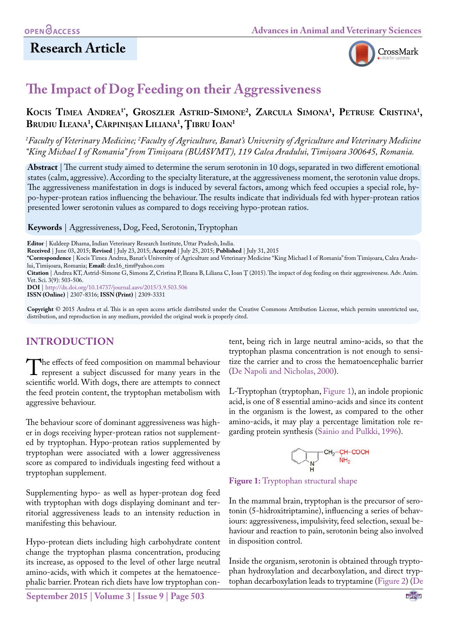

# **The Impact of Dog Feeding on their Aggressiveness**

**Kocis Timea Andrea1\*, Groszler Astrid-Simone2 , Zarcula Simona1 , Petruse Cristina1 , Brudiu Ileana1 , Cărpinișan Liliana1 , Ţibru Ioan1**

<sup>1</sup> Faculty of Veterinary Medicine; <sup>2</sup> Faculty of Agriculture, Banat's University of Agriculture and Veterinary Medicine *"King Michael I of Romania" from Timișoara (BUASVMT), 119 Calea Aradului, Timișoara 300645, Romania.*

**Abstract** | The current study aimed to determine the serum serotonin in 10 dogs, separated in two different emotional states (calm, aggressive). According to the specialty literature, at the aggressiveness moment, the serotonin value drops. The aggressiveness manifestation in dogs is induced by several factors, among which feed occupies a special role, hypo-hyper-protean ratios influencing the behaviour. The results indicate that individuals fed with hyper-protean ratios presented lower serotonin values as compared to dogs receiving hypo-protean ratios.

**Keywords** | Aggressiveness, Dog, Feed, Serotonin, Tryptophan

**Editor** | Kuldeep Dhama, Indian Veterinary Research Institute, Uttar Pradesh, India.

**Received** | June 03, 2015; **Revised** | July 23, 2015; **Accepted** | July 25, 2015; **Published** | July 31, 2015

**\*Correspondence** | Kocis Timea Andrea, Banat's University of Agriculture and Veterinary Medicine "King Michael I of Romania" from Timișoara, Calea Aradului, Timișoara, Romania; **Email:** dea16\_tim@yahoo.com

**Citation** | Andrea KT, Astrid-Simone G, Simona Z, Cristina P, Ileana B, Liliana C, Ioan Ţ (2015). The impact of dog feeding on their aggressiveness. Adv. Anim. Vet. Sci. 3(9): 503-506.

**DOI** | <http://dx.doi.org/10.14737/journal.aavs/2015/3.9.503.506>

**ISSN (Online)** | 2307-8316; **ISSN (Print)** | 2309-3331

**Copyright** © 2015 Andrea et al. This is an open access article distributed under the Creative Commons Attribution License, which permits unrestricted use, distribution, and reproduction in any medium, provided the original work is properly cited.

# **INTRODUCTION**

The effects of feed composition on mammal behaviour<br>represent a subject discussed for many years in the<br>scientific world With does, there are attemnts to connect scientific world. With dogs, there are attempts to connect the feed protein content, the tryptophan metabolism with aggressive behaviour.

The behaviour score of dominant aggressiveness was higher in dogs receiving hyper-protean ratios not supplemented by tryptophan. Hypo-protean ratios supplemented by tryptophan were associated with a lower aggressiveness score as compared to individuals ingesting feed without a tryptophan supplement.

Supplementing hypo- as well as hyper-protean dog feed with tryptophan with dogs displaying dominant and territorial aggressiveness leads to an intensity reduction in manifesting this behaviour.

Hypo-protean diets including high carbohydrate content change the tryptophan plasma concentration, producing its increase, as opposed to the level of other large neutral amino-acids, with which it competes at the hematoencephalic barrier. Protean rich diets have low tryptophan con-

**September 2015 | Volume 3 | Issue 9 | Page 503**

tent, being rich in large neutral amino-acids, so that the tryptophan plasma concentration is not enough to sensitize the carrier and to cross the hematoencephalic barrier [\(De Napoli and Nicholas, 2000\)](#page-3-0).

L-Tryptophan (tryptophan, [Figure 1\)](#page-0-0), an indole propionic acid, is one of 8 essential amino-acids and since its content in the organism is the lowest, as compared to the other amino-acids, it may play a percentage limitation role regarding protein synthesis ([Sainio and Pulkki, 1996\)](#page-3-1).



<span id="page-0-0"></span>**Figure 1:** Tryptophan structural shape

In the mammal brain, tryptophan is the precursor of serotonin (5-hidroxitriptamine), influencing a series of behaviours: aggressiveness, impulsivity, feed selection, sexual behaviour and reaction to pain, serotonin being also involved in disposition control.

Inside the organism, serotonin is obtained through tryptophan hydroxylation and decarboxylation, and direct tryptophan decarboxylation leads to tryptamine [\(Figure 2](#page-1-0)) ([De](#page-3-0)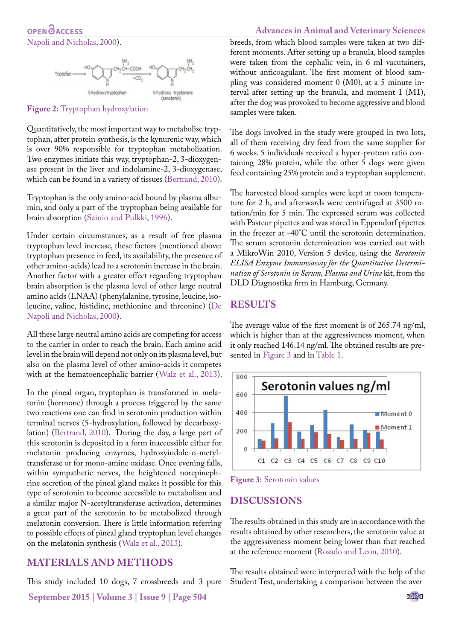

<span id="page-1-0"></span>**Figure 2:** Tryptophan hydroxylation

Quantitatively, the most important way to metabolise tryptophan, after protein synthesis, is the kynurenic way, which is over 90% responsible for tryptophan metabolization. Two enzymes initiate this way, tryptophan-2, 3-dioxygenase present in the liver and indolamine-2, 3-dioxygenase, which can be found in a variety of tissues ([Bertrand, 2010\)](#page-3-2).

Tryptophan is the only amino-acid bound by plasma albumin, and only a part of the tryptophan being available for brain absorption [\(Sainio and Pulkki, 1996](#page-3-1)).

Under certain circumstances, as a result of free plasma tryptophan level increase, these factors (mentioned above: tryptophan presence in feed, its availability, the presence of other amino-acids) lead to a serotonin increase in the brain. Another factor with a greater effect regarding tryptophan brain absorption is the plasma level of other large neutral amino acids (LNAA) (phenylalanine, tyrosine, leucine, isoleucine, valine, histidine, methionine and threonine) ([De](#page-3-0) [Napoli and Nicholas, 2000](#page-3-0)).

All these large neutral amino acids are competing for access to the carrier in order to reach the brain. Each amino acid level in the brain will depend not only on its plasma level, but also on the plasma level of other amino-acids it competes with at the hematoencephalic barrier ([Walz et al., 2013\)](#page-3-3).

In the pineal organ, tryptophan is transformed in melatonin (hormone) through a process triggered by the same two reactions one can find in serotonin production within terminal nerves (5-hydroxylation, followed by decarboxylation) ([Bertrand, 2010\)](#page-3-2). During the day, a large part of this serotonin is deposited in a form inaccessible either for melatonin producing enzymes, hydroxyindole-o-metyltransferase or for mono-amine oxidase. Once evening falls, within sympathetic nerves, the heightened norepinephrine secretion of the pineal gland makes it possible for this type of serotonin to become accessible to metabolism and a similar major N-acetyltransferase activation, determines a great part of the serotonin to be metabolized through melatonin conversion. There is little information referring to possible effects of pineal gland tryptophan level changes on the melatonin synthesis ([Walz et al., 2013](#page-3-3)).

## **MATERIALS AND METHODS**

This study included 10 dogs, 7 crossbreeds and 3 pure

**September 2015 | Volume 3 | Issue 9 | Page 504**

# **Advances in Animal and Veterinary Sciences**

breeds, from which blood samples were taken at two different moments. After setting up a branula, blood samples were taken from the cephalic vein, in 6 ml vacutainers, without anticoagulant. The first moment of blood sampling was considered moment 0 (M0), at a 5 minute interval after setting up the branula, and moment 1 (M1), after the dog was provoked to become aggressive and blood samples were taken.

The dogs involved in the study were grouped in two lots, all of them receiving dry feed from the same supplier for 6 weeks. 5 individuals received a hyper-protean ratio containing 28% protein, while the other 5 dogs were given feed containing 25% protein and a tryptophan supplement.

The harvested blood samples were kept at room temperature for 2 h, and afterwards were centrifuged at 3500 rotation/min for 5 min. The expressed serum was collected with Pasteur pipettes and was stored in Eppendorf pipettes in the freezer at -40°C until the serotonin determination. The serum serotonin determination was carried out with a MikroWin 2010, Version 5 device, using the *Serotonin ELISA Enzyme Immunoassay for the Quantitative Determination of Serotonin in Serum, Plasma and Urine* kit, from the DLD Diagnostika firm in Hamburg, Germany.

#### **RESULTS**

The average value of the first moment is of 265.74 ng/ml, which is higher than at the aggressiveness moment, when it only reached 146.14 ng/ml. The obtained results are presented in [Figure 3](#page-1-1) and in [Table 1](#page-2-0).



<span id="page-1-1"></span>**Figure 3:** Serotonin values

# **DISCUSSIONS**

The results obtained in this study are in accordance with the results obtained by other researchers, the serotonin value at the aggressiveness moment being lower than that reached at the reference moment ([Rosado and Leon, 2010\)](#page-3-4).

The results obtained were interpreted with the help of the Student Test, undertaking a comparison between the aver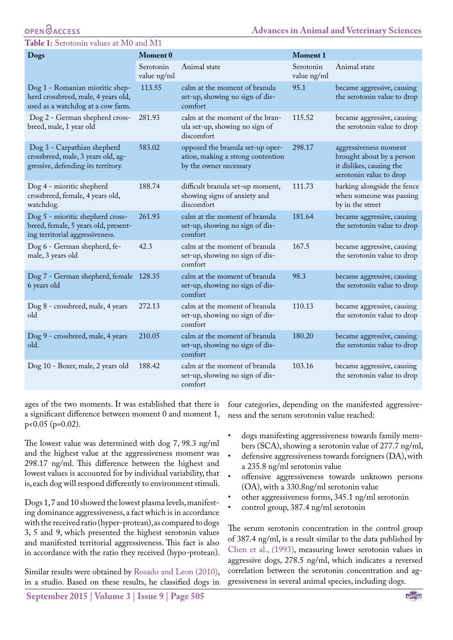#### **OPENOACCESS**

#### <span id="page-2-0"></span>**Table 1:** Serotonin values at M0 and M1

| <b>Dogs</b>                                                                                                 | Moment 0                 |                                                                                                 | <b>Moment 1</b>          |                                                                                                           |
|-------------------------------------------------------------------------------------------------------------|--------------------------|-------------------------------------------------------------------------------------------------|--------------------------|-----------------------------------------------------------------------------------------------------------|
|                                                                                                             | Serotonin<br>value ng/ml | Animal state                                                                                    | Serotonin<br>value ng/ml | Animal state                                                                                              |
| Dog 1 - Romanian mioritic shep-<br>herd crossbreed, male, 4 years old,<br>used as a watchdog at a cow farm. | 113.55                   | calm at the moment of branula<br>set-up, showing no sign of dis-<br>comfort                     | 95.1                     | became aggressive, causing<br>the serotonin value to drop                                                 |
| Dog 2 - German shepherd cross-<br>breed, male, 1 year old                                                   | 281.93                   | calm at the moment of the bran-<br>ula set-up, showing no sign of<br>discomfort                 | 115.52                   | became aggressive, causing<br>the serotonin value to drop                                                 |
| Dog 3 - Carpathian shepherd<br>crossbreed, male, 3 years old, ag-<br>gressive, defending its territory.     | 583.02                   | opposed the branula set-up oper-<br>ation, making a strong contention<br>by the owner necessary | 298.17                   | aggressiveness moment<br>brought about by a person<br>it dislikes, causing the<br>serotonin value to drop |
| Dog 4 - mioritic shepherd<br>crossbreed, female, 4 years old,<br>watchdog.                                  | 188.74                   | difficult branula set-up moment,<br>showing signs of anxiety and<br>discomfort                  | 111.73                   | barking alongside the fence<br>when someone was passing<br>by in the street                               |
| Dog 5 - mioritic shepherd cross-<br>breed, female, 5 years old, present-<br>ing territorial aggressiveness. | 261.93                   | calm at the moment of branula<br>set-up, showing no sign of dis-<br>comfort                     | 181.64                   | became aggressive, causing<br>the serotonin value to drop                                                 |
| Dog 6 - German shepherd, fe-<br>male, 3 years old                                                           | 42.3                     | calm at the moment of branula<br>set-up, showing no sign of dis-<br>comfort                     | 167.5                    | became aggressive, causing<br>the serotonin value to drop                                                 |
| Dog 7 - German shepherd, female 128.35<br>6 years old                                                       |                          | calm at the moment of branula<br>set-up, showing no sign of dis-<br>comfort                     | 98.3                     | became aggressive, causing<br>the serotonin value to drop                                                 |
| Dog 8 - crossbreed, male, 4 years<br>old                                                                    | 272.13                   | calm at the moment of branula<br>set-up, showing no sign of dis-<br>comfort                     | 110.13                   | became aggressive, causing<br>the serotonin value to drop                                                 |
| Dog 9 - crossbreed, male, 4 years<br>old.                                                                   | 210.05                   | calm at the moment of branula<br>set-up, showing no sign of dis-<br>comfort                     | 180.20                   | became aggressive, causing<br>the serotonin value to drop                                                 |
| Dog 10 - Boxer, male, 2 years old                                                                           | 188.42                   | calm at the moment of branula<br>set-up, showing no sign of dis-<br>comfort                     | 103.16                   | became aggressive, causing<br>the serotonin value to drop                                                 |

ages of the two moments. It was established that there is a significant difference between moment 0 and moment 1, p<0.05 (p=0.02).

The lowest value was determined with dog 7, 98.3 ng/ml and the highest value at the aggressiveness moment was 298.17 ng/ml. This difference between the highest and lowest values is accounted for by individual variability, that is, each dog will respond differently to environment stimuli.

Dogs 1, 7 and 10 showed the lowest plasma levels, manifesting dominance aggressiveness, a fact which is in accordance with the received ratio (hyper-protean), as compared to dogs 3, 5 and 9, which presented the highest serotonin values and manifested territorial aggressiveness. This fact is also in accordance with the ratio they received (hypo-protean).

Similar results were obtained by [Rosado and Leon \(2010\)](#page-3-4), in a studio. Based on these results, he classified dogs in

• dogs manifesting aggressiveness towards family members (SCA), showing a serotonin value of 277.7 ng/ml,

ness and the serum serotonin value reached:

• defensive aggressiveness towards foreigners (DA), with a 235.8 ng/ml serotonin value

four categories, depending on the manifested aggressive-

- offensive aggressiveness towards unknown persons (OA), with a 330.8ng/ml serotonin value
- other aggressiveness forms, 345.1 ng/ml serotonin
- control group, 387.4 ng/ml serotonin

The serum serotonin concentration in the control group of 387.4 ng/ml, is a result similar to the data published by [Chen et al., \(1993\)](#page-3-5), measuring lower serotonin values in aggressive dogs, 278.5 ng/ml, which indicates a reversed correlation between the serotonin concentration and aggressiveness in several animal species, including dogs.